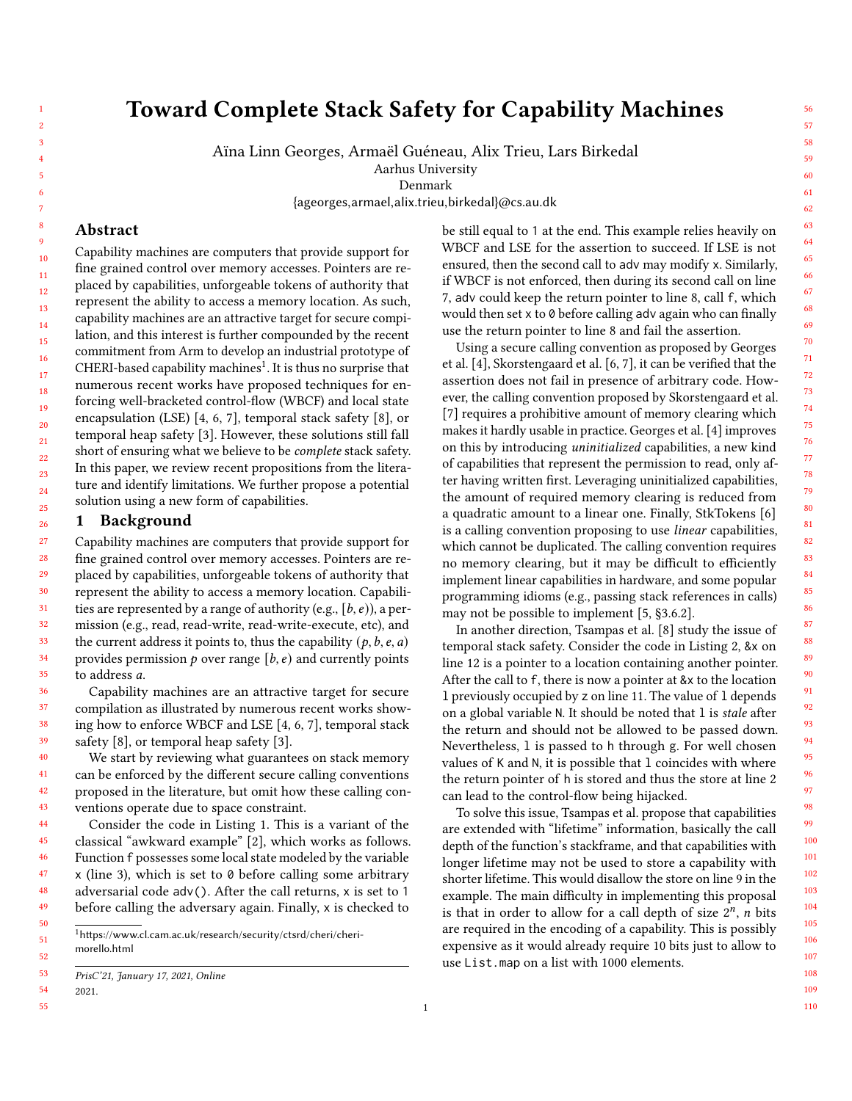109 110

56 57

# Toward Complete Stack Safety for Capability Machines

Aïna Linn Georges, Armaël Guéneau, Alix Trieu, Lars Birkedal

Aarhus University

Denmark

{ageorges,armael,alix.trieu,birkedal}@cs.au.dk

## Abstract

Capability machines are computers that provide support for fine grained control over memory accesses. Pointers are replaced by capabilities, unforgeable tokens of authority that represent the ability to access a memory location. As such, capability machines are an attractive target for secure compilation, and this interest is further compounded by the recent commitment from Arm to develop an industrial prototype of CHERI-based capability machines $^1$  $^1$ . It is thus no surprise that numerous recent works have proposed techniques for enforcing well-bracketed control-flow (WBCF) and local state encapsulation (LSE) [\[4,](#page-2-0) [6,](#page-2-1) [7\]](#page-2-2), temporal stack safety [\[8\]](#page-2-3), or temporal heap safety [\[3\]](#page-2-4). However, these solutions still fall short of ensuring what we believe to be complete stack safety. In this paper, we review recent propositions from the literature and identify limitations. We further propose a potential solution using a new form of capabilities.

### 1 Background

27 28 29 30 31 32 33 34 35 36 Capability machines are computers that provide support for fine grained control over memory accesses. Pointers are replaced by capabilities, unforgeable tokens of authority that represent the ability to access a memory location. Capabilities are represented by a range of authority (e.g.,  $[b, e)$ ), a permission (e.g., read, read-write, read-write-execute, etc), and the current address it points to, thus the capability  $(p, b, e, a)$ provides permission  $p$  over range  $[b, e)$  and currently points to address a.

Capability machines are an attractive target for secure compilation as illustrated by numerous recent works showing how to enforce WBCF and LSE [\[4,](#page-2-0) [6,](#page-2-1) [7\]](#page-2-2), temporal stack safety [\[8\]](#page-2-3), or temporal heap safety [\[3\]](#page-2-4).

40 41 42 43 We start by reviewing what guarantees on stack memory can be enforced by the different secure calling conventions proposed in the literature, but omit how these calling conventions operate due to space constraint.

44 45 46 47 48 49 50 Consider the code in Listing [1.](#page-1-0) This is a variant of the classical "awkward example" [\[2\]](#page-2-5), which works as follows. Function f possesses some local state modeled by the variable  $x$  (line 3), which is set to  $\theta$  before calling some arbitrary adversarial code adv(). After the call returns, x is set to 1 before calling the adversary again. Finally, x is checked to

<span id="page-0-0"></span> $1$ [https://www.cl.cam.ac.uk/research/security/ctsrd/cheri/cheri](https://www.cl.cam.ac.uk/research/security/ctsrd/cheri/cheri-morello.html)[morello.html](https://www.cl.cam.ac.uk/research/security/ctsrd/cheri/cheri-morello.html)

54 2021.

55

51 52

37 38 39

be still equal to 1 at the end. This example relies heavily on WBCF and LSE for the assertion to succeed. If LSE is not ensured, then the second call to adv may modify x. Similarly, if WBCF is not enforced, then during its second call on line 7, adv could keep the return pointer to line 8, call f, which would then set x to 0 before calling adv again who can finally use the return pointer to line 8 and fail the assertion.

Using a secure calling convention as proposed by Georges et al. [\[4\]](#page-2-0), Skorstengaard et al. [\[6,](#page-2-1) [7\]](#page-2-2), it can be verified that the assertion does not fail in presence of arbitrary code. However, the calling convention proposed by Skorstengaard et al. [\[7\]](#page-2-2) requires a prohibitive amount of memory clearing which makes it hardly usable in practice. Georges et al. [\[4\]](#page-2-0) improves on this by introducing uninitialized capabilities, a new kind of capabilities that represent the permission to read, only after having written first. Leveraging uninitialized capabilities, the amount of required memory clearing is reduced from a quadratic amount to a linear one. Finally, StkTokens [\[6\]](#page-2-1) is a calling convention proposing to use linear capabilities, which cannot be duplicated. The calling convention requires no memory clearing, but it may be difficult to efficiently implement linear capabilities in hardware, and some popular programming idioms (e.g., passing stack references in calls) may not be possible to implement [\[5,](#page-2-6) §3.6.2].

In another direction, Tsampas et al. [\[8\]](#page-2-3) study the issue of temporal stack safety. Consider the code in Listing [2,](#page-1-1) &x on line 12 is a pointer to a location containing another pointer. After the call to f, there is now a pointer at &x to the location l previously occupied by z on line 11. The value of l depends on a global variable N. It should be noted that 1 is stale after the return and should not be allowed to be passed down. Nevertheless, l is passed to h through g. For well chosen values of K and N, it is possible that l coincides with where the return pointer of h is stored and thus the store at line 2 can lead to the control-flow being hijacked.

To solve this issue, [Tsampas et al.](#page-2-3) propose that capabilities are extended with "lifetime" information, basically the call depth of the function's stackframe, and that capabilities with longer lifetime may not be used to store a capability with shorter lifetime. This would disallow the store on line 9 in the example. The main difficulty in implementing this proposal is that in order to allow for a call depth of size  $2^n$ , *n* bits are required in the encoding of a capability. This is possibly expensive as it would already require 10 bits just to allow to use List.map on a list with 1000 elements.

<sup>53</sup> PrisC'21, January 17, 2021, Online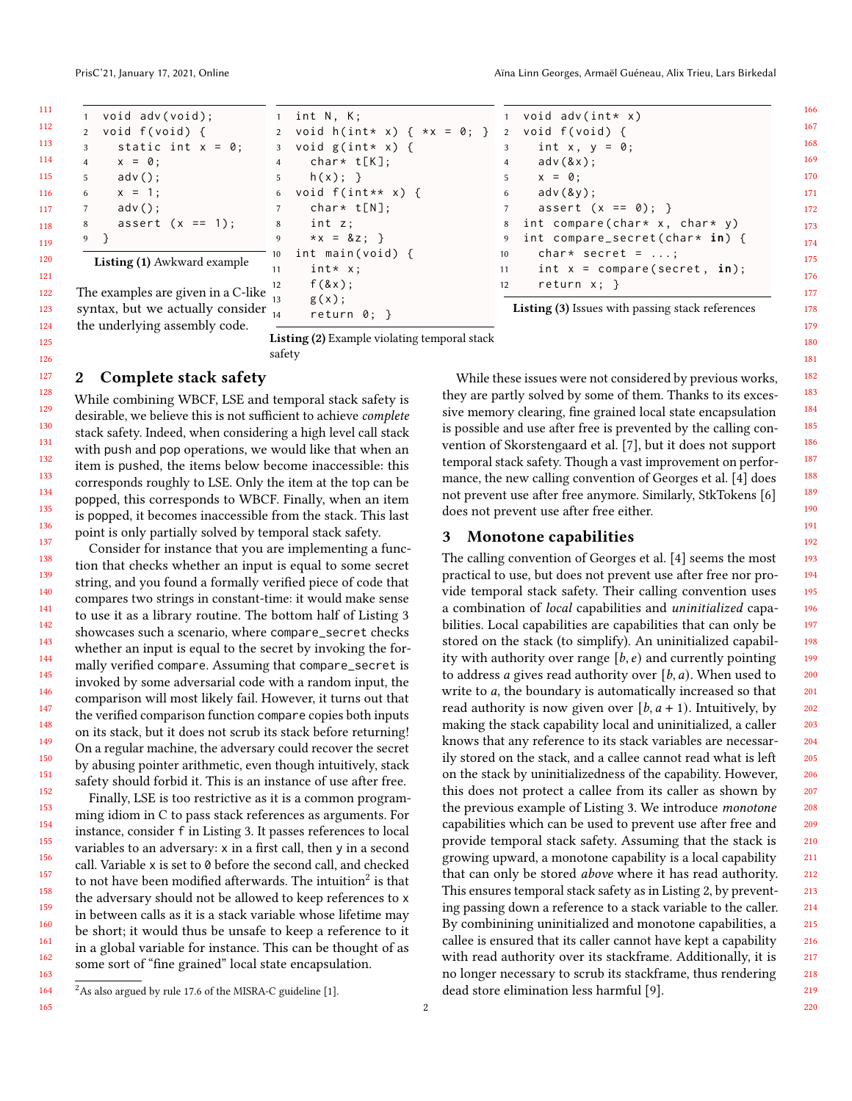<span id="page-1-0"></span>

| 1 void adv(void);                                                                                    | 1 int N, K;                                      | 1 void adv(int* x)                                         |
|------------------------------------------------------------------------------------------------------|--------------------------------------------------|------------------------------------------------------------|
| 2 void f(void) {                                                                                     | 2 void h(int* x) { $*x = 0$ ; } 2 void f(void) { |                                                            |
| static int $x = 0$ :<br>3                                                                            | 3 void $g(int * x)$ {                            | int x, $y = 0$ ;<br>3 <sup>1</sup>                         |
| $x = 0$ ;<br>$\overline{4}$                                                                          | char* t[K];<br>4                                 | adv(8x);<br>$4\overline{ }$                                |
| 5<br>$adv()$ ;                                                                                       | $h(x);$ }<br>5 <sub>5</sub>                      | $x = 0$ :<br>$5-1$                                         |
| $x = 1$ ;<br>6                                                                                       | 6 void $f(int** x)$ {                            | $adv(8y)$ ;<br>6                                           |
| $adv()$ ;<br>$7^{\circ}$                                                                             | char* t[N];                                      | assert $(x == 0);$<br>7                                    |
| assert $(x == 1)$ ;<br>8                                                                             | int z;<br>8                                      | 8 int compare(char* x, char* y)                            |
| 9 }                                                                                                  | $*x = 8z;$<br>9                                  | 9 int compare_secret(char* in) {                           |
| <b>Listing (1)</b> Awkward example                                                                   | int main(void) {<br>10                           | char* secret = $\dots$ ;<br>10                             |
|                                                                                                      | $int* x$ :<br>11                                 | int $x = \text{compare}(\text{secret}, \text{ in});$<br>11 |
|                                                                                                      | $f$ $(8x)$ ;<br>12                               | return $x$ ; }<br>12                                       |
| The examples are given in a C-like $\frac{1}{13}$<br>syntax, but we actually consider $\frac{1}{14}$ | $g(x)$ ;<br>return $0;$ }                        | <b>Listing (3)</b> Issues with passing stack references    |

the underlying assembly code.

<span id="page-1-1"></span>Listing (2) Example violating temporal stack safety

# 2 Complete stack safety

While combining WBCF, LSE and temporal stack safety is desirable, we believe this is not sufficient to achieve complete stack safety. Indeed, when considering a high level call stack with push and pop operations, we would like that when an item is pushed, the items below become inaccessible: this corresponds roughly to LSE. Only the item at the top can be popped, this corresponds to WBCF. Finally, when an item is popped, it becomes inaccessible from the stack. This last point is only partially solved by temporal stack safety.

Consider for instance that you are implementing a function that checks whether an input is equal to some secret string, and you found a formally verified piece of code that compares two strings in constant-time: it would make sense to use it as a library routine. The bottom half of Listing [3](#page-1-2) showcases such a scenario, where compare\_secret checks whether an input is equal to the secret by invoking the formally verified compare. Assuming that compare\_secret is invoked by some adversarial code with a random input, the comparison will most likely fail. However, it turns out that the verified comparison function compare copies both inputs on its stack, but it does not scrub its stack before returning! On a regular machine, the adversary could recover the secret by abusing pointer arithmetic, even though intuitively, stack safety should forbid it. This is an instance of use after free.

Finally, LSE is too restrictive as it is a common programming idiom in C to pass stack references as arguments. For instance, consider f in Listing [3.](#page-1-2) It passes references to local variables to an adversary: x in a first call, then y in a second call. Variable x is set to 0 before the second call, and checked to not have been modified afterwards. The intuition $^2$  $^2$  is that the adversary should not be allowed to keep references to x in between calls as it is a stack variable whose lifetime may be short; it would thus be unsafe to keep a reference to it in a global variable for instance. This can be thought of as some sort of "fine grained" local state encapsulation.

<span id="page-1-3"></span> $^{2}$ As also argued by rule 17.6 of the MISRA-C guideline [\[1\]](#page-2-7).

<span id="page-1-2"></span>While these issues were not considered by previous works, they are partly solved by some of them. Thanks to its excessive memory clearing, fine grained local state encapsulation is possible and use after free is prevented by the calling convention of Skorstengaard et al. [\[7\]](#page-2-2), but it does not support temporal stack safety. Though a vast improvement on performance, the new calling convention of Georges et al. [\[4\]](#page-2-0) does not prevent use after free anymore. Similarly, StkTokens [\[6\]](#page-2-1) does not prevent use after free either.

#### 3 Monotone capabilities

 The calling convention of Georges et al. [\[4\]](#page-2-0) seems the most practical to use, but does not prevent use after free nor provide temporal stack safety. Their calling convention uses a combination of local capabilities and uninitialized capabilities. Local capabilities are capabilities that can only be stored on the stack (to simplify). An uninitialized capability with authority over range  $[b, e)$  and currently pointing to address *a* gives read authority over  $[b, a)$ . When used to write to  $a$ , the boundary is automatically increased so that read authority is now given over  $[b, a + 1)$ . Intuitively, by making the stack capability local and uninitialized, a caller knows that any reference to its stack variables are necessarily stored on the stack, and a callee cannot read what is left on the stack by uninitializedness of the capability. However, this does not protect a callee from its caller as shown by the previous example of Listing [3.](#page-1-2) We introduce monotone capabilities which can be used to prevent use after free and provide temporal stack safety. Assuming that the stack is growing upward, a monotone capability is a local capability that can only be stored above where it has read authority. This ensures temporal stack safety as in Listing [2,](#page-1-1) by preventing passing down a reference to a stack variable to the caller. By combinining uninitialized and monotone capabilities, a callee is ensured that its caller cannot have kept a capability with read authority over its stackframe. Additionally, it is no longer necessary to scrub its stackframe, thus rendering dead store elimination less harmful [\[9\]](#page-2-8).

```
2
```